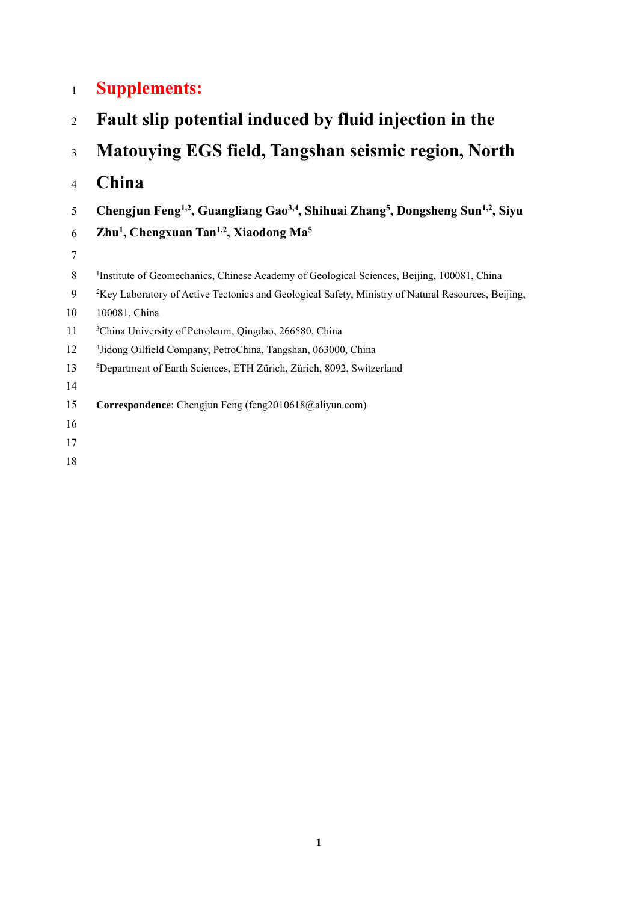## **Supplements: Fault slip potential induced by fluid injection in the Matouying EGS field, Tangshan seismic region, North China Chengjun Feng 1,2 , Guangliang Gao 3,4 , Shihuai Zhang 5 , Dongsheng Sun 1,2 , Siyu Zhu 1 , Chengxuan Tan 1,2 , Xiaodong Ma <sup>5</sup>** 8 <sup>1</sup>Institute of Geomechanics, Chinese Academy of Geological Sciences, Beijing, 100081, China 9 <sup>2</sup>Key Laboratory of Active Tectonics and Geological Safety, Ministry of Natural Resources, Beijing, 100081, China 11 <sup>3</sup> China University of Petroleum, Qingdao, 266580, China 12 <sup>4</sup> Jidong Oilfield Company, PetroChina, Tangshan, 063000, China <sup>5</sup>Department of Earth Sciences, ETH Zürich, Zürich, 8092, Switzerland **Correspondence**: Chengjun Feng (feng2010618@aliyun.com)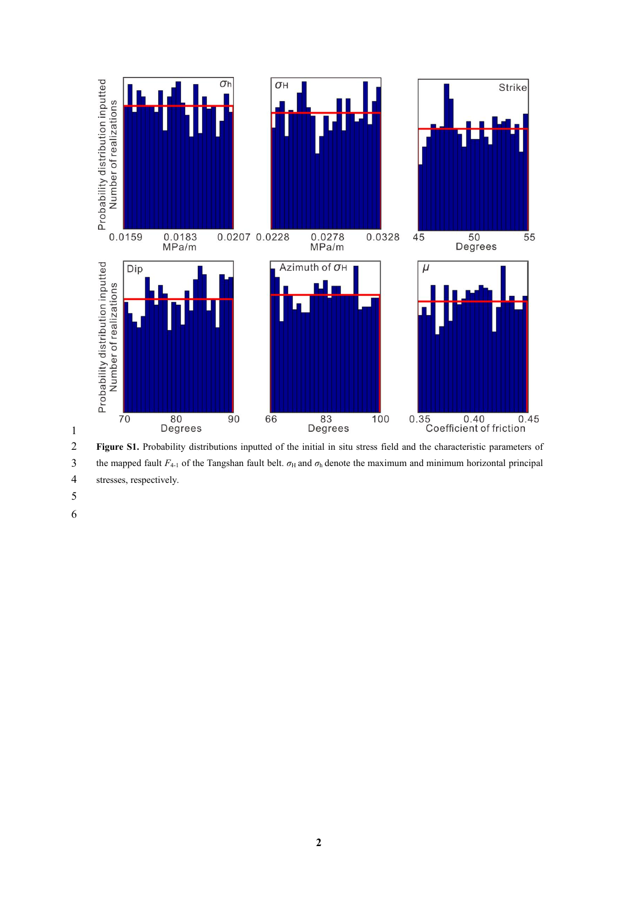

 **Figure S1.** Probability distributions inputted of the initial in situ stress field and the characteristic parameters of 3 the mapped fault  $F_{4-1}$  of the Tangshan fault belt.  $\sigma_H$  and  $\sigma_h$  denote the maximum and minimum horizontal principal stresses, respectively.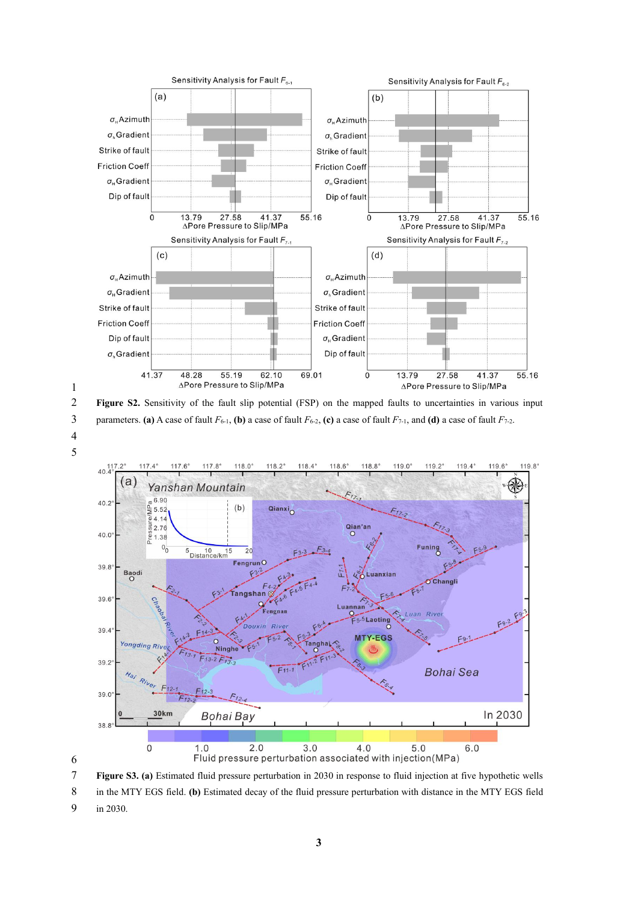

 **Figure S2.** Sensitivity of the fault slip potential (FSP) on the mapped faults to uncertainties in various input 3 parameters. **(a)** A case of fault  $F_{6-1}$ , **(b)** a case of fault  $F_{6-2}$ , **(c)** a case of fault  $F_{7-1}$ , and **(d)** a case of fault  $F_{7-2}$ .





**Figure S3.(a)** Estimated fluid pressure perturbation in 2030 in response to fluid injection at five hypothetic wells

 in the MTY EGS field. **(b)** Estimated decay of the fluid pressure perturbation with distance in the MTY EGS field in 2030.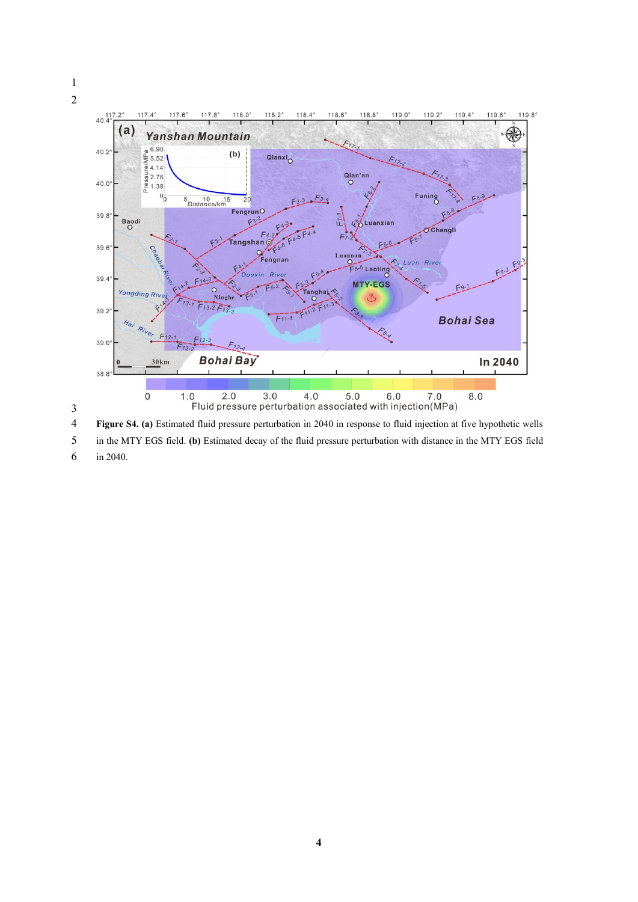

**Figure S4.(a)** Estimated fluid pressure perturbation in 2040 in response to fluid injection at five hypothetic wells

 in the MTY EGS field. **(b)** Estimated decay of the fluid pressure perturbation with distance in the MTY EGS field in 2040.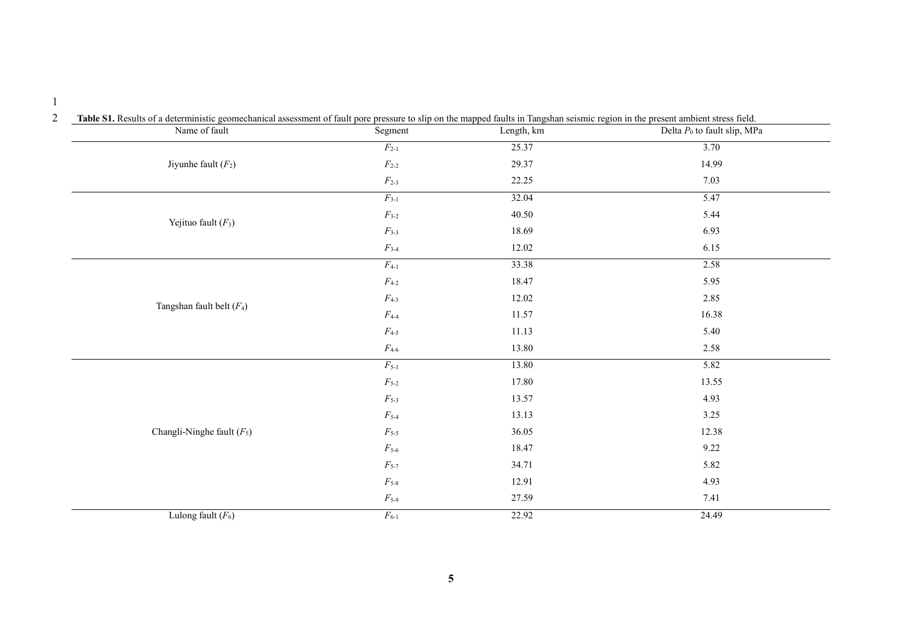| Name of fault                | Segment                    | Length, km | Delta $P_0$ to fault slip, MPa |
|------------------------------|----------------------------|------------|--------------------------------|
|                              | $F_{2-1}$                  | 25.37      | 3.70                           |
| Jiyunhe fault $(F_2)$        | $F_{2-2}$                  | 29.37      | 14.99                          |
|                              | $F_{2-3}$                  | 22.25      | 7.03                           |
|                              | $F_{3-1}$                  | 32.04      | 5.47                           |
|                              | $F_{3-2}$                  | 40.50      | 5.44                           |
| Yejituo fault $(F_3)$        | $F_{3-3}$                  | 18.69      | 6.93                           |
|                              | $F_{3-4}$                  | 12.02      | 6.15                           |
|                              | $F_{4-1}$                  | 33.38      | 2.58                           |
|                              | $F_{4-2}$                  | 18.47      | 5.95                           |
|                              | $F_{4-3}$                  | 12.02      | 2.85                           |
| Tangshan fault belt $(F_4)$  | $F_{4-4}$                  | 11.57      | 16.38                          |
|                              | $F_{4-5}$                  | 11.13      | 5.40                           |
|                              | $\mathcal{F}_{4\text{-}6}$ | 13.80      | 2.58                           |
|                              | $F_{5-1}$                  | 13.80      | 5.82                           |
|                              | $\mathcal{F}_{5\text{-}2}$ | 17.80      | 13.55                          |
|                              | $F_{5-3}$                  | 13.57      | 4.93                           |
|                              | $F_{5-4}$                  | 13.13      | 3.25                           |
| Changli-Ninghe fault $(F_5)$ | $F_{5-5}$                  | 36.05      | 12.38                          |
|                              | $F_{5-6}$                  | 18.47      | 9.22                           |
|                              | $\mathcal{F}_{5\text{-}7}$ | 34.71      | 5.82                           |
|                              | $F_{5-8}$                  | 12.91      | 4.93                           |
|                              | $F_{5-9}$                  | 27.59      | 7.41                           |
| Lulong fault $(F_6)$         | $F_{6-1}$                  | 22.92      | 24.49                          |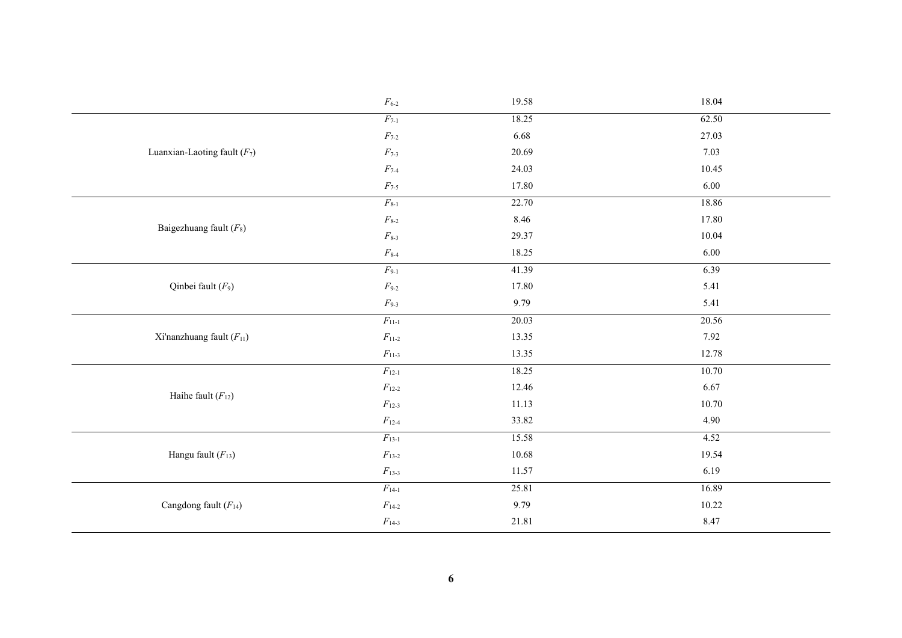|                                | $F_{6-2}$                   | 19.58 | 18.04 |
|--------------------------------|-----------------------------|-------|-------|
|                                | $F_{7-1}$                   | 18.25 | 62.50 |
|                                | $\mathcal{F}_{7\text{-}2}$  | 6.68  | 27.03 |
| Luanxian-Laoting fault $(F_7)$ | $F_{7-3}$                   | 20.69 | 7.03  |
|                                | $F_{7-4}$                   | 24.03 | 10.45 |
|                                | $\mathcal{F}_{7\text{-}5}$  | 17.80 | 6.00  |
|                                | $F_{8-1}$                   | 22.70 | 18.86 |
| Baigezhuang fault $(F_8)$      | $F_{8-2}$                   | 8.46  | 17.80 |
|                                | $F_{8-3}$                   | 29.37 | 10.04 |
|                                | $F_{8-4}$                   | 18.25 | 6.00  |
|                                | $F_{9-1}$                   | 41.39 | 6.39  |
| Qinbei fault $(F_9)$           | $F_{9-2}$                   | 17.80 | 5.41  |
|                                | $F_{9-3}$                   | 9.79  | 5.41  |
|                                | $F_{11-1}$                  | 20.03 | 20.56 |
| Xi'nanzhuang fault $(F_{11})$  | $F_{11-2}$                  | 13.35 | 7.92  |
|                                | $F_{11-3}$                  | 13.35 | 12.78 |
|                                | $F_{12-1}$                  | 18.25 | 10.70 |
| Haihe fault $(F_{12})$         | $F_{12-2}$                  | 12.46 | 6.67  |
|                                | $F_{12-3}$                  | 11.13 | 10.70 |
|                                | $F_{12-4}$                  | 33.82 | 4.90  |
|                                | $F_{13-1}$                  | 15.58 | 4.52  |
| Hangu fault $(F_{13})$         | $F_{13-2}$                  | 10.68 | 19.54 |
|                                | $F_{13-3}$                  | 11.57 | 6.19  |
|                                | $F_{14-1}$                  | 25.81 | 16.89 |
| Cangdong fault $(F_{14})$      | $\mathcal{F}_{14\text{-}2}$ | 9.79  | 10.22 |
|                                | $F_{14-3}$                  | 21.81 | 8.47  |
|                                |                             |       |       |
|                                | 6                           |       |       |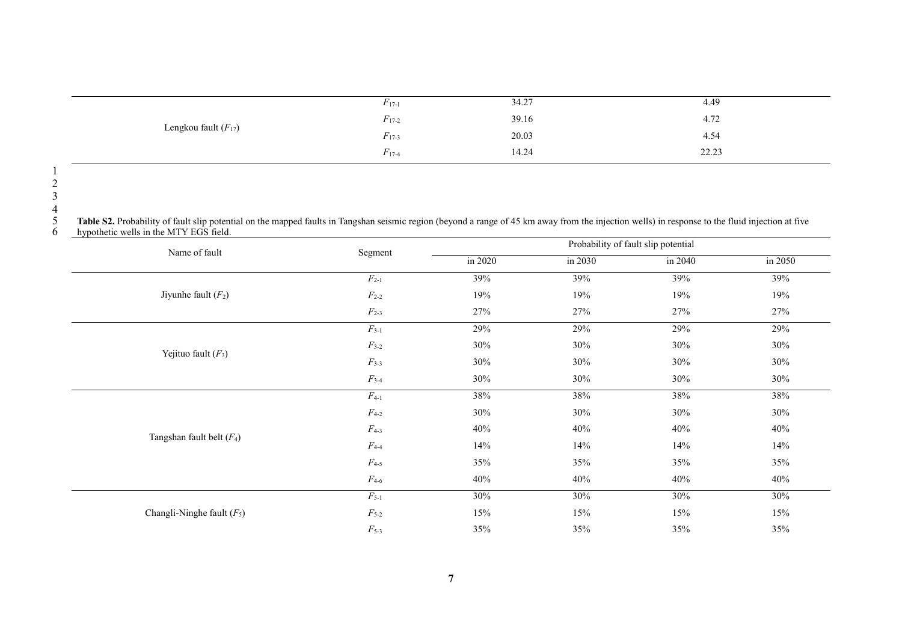|                          | $F_{17-1}$                 | 34.27 | 4.49  |
|--------------------------|----------------------------|-------|-------|
| Lengkou fault $(F_{17})$ | $\sim$<br>$F_{17-2}$       | 39.16 | 4.72  |
|                          | $\mathbf{r}$<br>$F_{17-3}$ | 20.03 | 4.54  |
|                          | $\mathbf{r}$<br>$F_{17-4}$ | 14.24 | 22.23 |

5 Table S2. Probability of fault slip potential on the mapped faults in Tangshan seismic region (beyond a range of 45 km away from the injection wells) in response to the fluid injection at five<br>6 hypothetic wells in the M

| Name of fault                | Segment                    |         | Probability of fault slip potential |         |         |  |  |
|------------------------------|----------------------------|---------|-------------------------------------|---------|---------|--|--|
|                              |                            | in 2020 | in 2030                             | in 2040 | in 2050 |  |  |
|                              | $F_{2-1}$                  | 39%     | 39%                                 | 39%     | 39%     |  |  |
| Jiyunhe fault $(F_2)$        | $F_{2-2}$                  | 19%     | 19%                                 | 19%     | 19%     |  |  |
|                              | $F_{2-3}$                  | 27%     | 27%                                 | 27%     | 27%     |  |  |
|                              | $F_{3-1}$                  | 29%     | 29%                                 | 29%     | 29%     |  |  |
|                              | $\mathcal{F}_{3\text{-}2}$ | 30%     | 30%                                 | 30%     | 30%     |  |  |
| Yejituo fault $(F_3)$        | $F3-3$                     | 30%     | 30%                                 | 30%     | 30%     |  |  |
|                              | $F_{3-4}$                  | 30%     | 30%                                 | 30%     | 30%     |  |  |
|                              | $F_{4-1}$                  | 38%     | 38%                                 | 38%     | 38%     |  |  |
|                              | $F_{4-2}$                  | 30%     | 30%                                 | 30%     | 30%     |  |  |
| Tangshan fault belt $(F_4)$  | $F_{4-3}$                  | 40%     | 40%                                 | 40%     | 40%     |  |  |
|                              | $F_{4-4}$                  | 14%     | 14%                                 | 14%     | 14%     |  |  |
|                              | $\mathcal{F}_{4\text{-}5}$ | 35%     | 35%                                 | 35%     | 35%     |  |  |
|                              | $\mathcal{F}_{4\text{-}6}$ | 40%     | 40%                                 | 40%     | 40%     |  |  |
|                              | $F_{5-1}$                  | 30%     | 30%                                 | 30%     | 30%     |  |  |
| Changli-Ninghe fault $(F_5)$ | $\mathcal{F}_{5\text{-}2}$ | 15%     | 15%                                 | 15%     | 15%     |  |  |
|                              | $F_{5-3}$                  | 35%     | 35%                                 | 35%     | 35%     |  |  |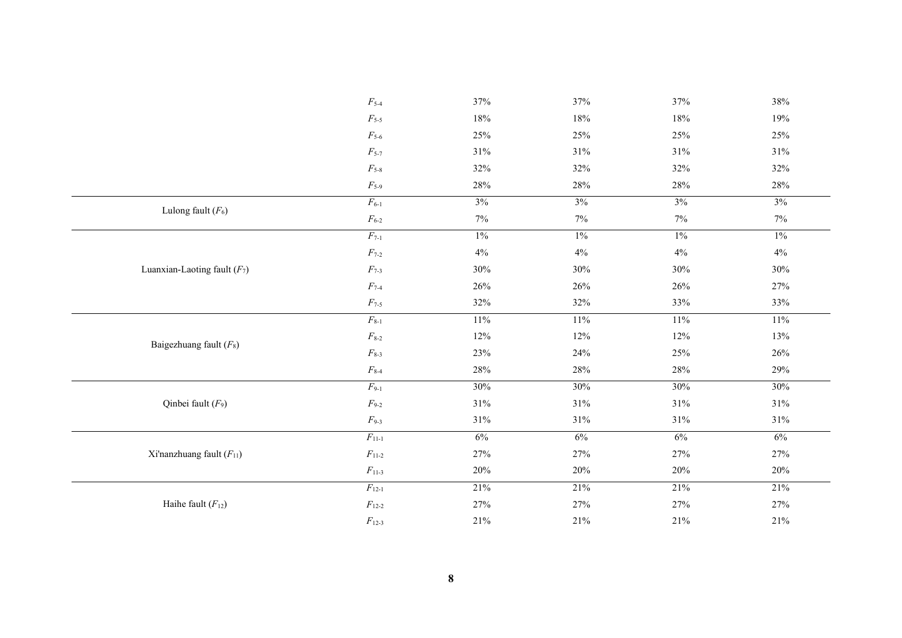|                                | $\mathcal{F}_{5\text{-}4}$  | 37%    | 37%    | 37%    | 38%   |
|--------------------------------|-----------------------------|--------|--------|--------|-------|
|                                | $F_{5-5}$                   | $18\%$ | $18\%$ | $18\%$ | 19%   |
|                                | $\mathcal{F}_{5\text{-}6}$  | 25%    | 25%    | 25%    | 25%   |
|                                | $\mathcal{F}_{5\text{-}7}$  | 31%    | 31%    | $31\%$ | 31%   |
|                                | $\mathcal{F}_{5\text{-}8}$  | 32%    | 32%    | 32%    | 32%   |
|                                | $F_{5-9}$                   | $28\%$ | 28%    | $28\%$ | 28%   |
|                                | $F_{6-1}$                   | 3%     | 3%     | 3%     | 3%    |
| Lulong fault $(F_6)$           | $F_{6-2}$                   | $7\%$  | $7\%$  | $7\%$  | 7%    |
|                                | $F_{7-1}$                   | $1\%$  | $1\%$  | $1\%$  | $1\%$ |
|                                | $\mathcal{F}_{7\text{-}2}$  | $4\%$  | $4\%$  | $4\%$  | $4\%$ |
| Luanxian-Laoting fault $(F_7)$ | $\mathcal{F}_{7\text{-}3}$  | 30%    | 30%    | $30\%$ | 30%   |
|                                | $\mathcal{F}_{7\text{-}4}$  | 26%    | 26%    | 26%    | 27%   |
|                                | $F_{7-5}$                   | 32%    | 32%    | 33%    | 33%   |
|                                | $\mathcal{F}_{8\text{-}1}$  | 11%    | 11%    | 11%    | 11%   |
|                                | $\mathcal{F}_{8\text{-}2}$  | 12%    | 12%    | 12%    | 13%   |
| Baigezhuang fault $(F_8)$      | $\mathcal{F}_{8\text{-}3}$  | 23%    | 24%    | 25%    | 26%   |
|                                | $\mathcal{F}_{8\text{-}4}$  | $28\%$ | 28%    | $28\%$ | 29%   |
|                                | $F_{9-1}$                   | 30%    | 30%    | 30%    | 30%   |
| Qinbei fault $(F_9)$           | $\mathcal{F}_{9\text{-}2}$  | 31%    | 31%    | $31\%$ | 31%   |
|                                | $F_{9-3}$                   | 31%    | 31%    | 31%    | 31%   |
|                                | $\mathcal{F}_{11\text{-}1}$ | 6%     | 6%     | 6%     | 6%    |
| Xi'nanzhuang fault $(F_{11})$  | $\mathcal{F}_{11\text{-}2}$ | 27%    | 27%    | 27%    | 27%   |
|                                | $F_{11-3}$                  | 20%    | 20%    | 20%    | 20%   |
|                                | $F_{12-1}$                  | 21%    | 21%    | 21%    | 21%   |
| Haihe fault $(F_{12})$         | $\mathcal{F}_{12\text{-}2}$ | 27%    | 27%    | 27%    | 27%   |
|                                | $F_{12-3}$                  | $21\%$ | 21%    | $21\%$ | 21%   |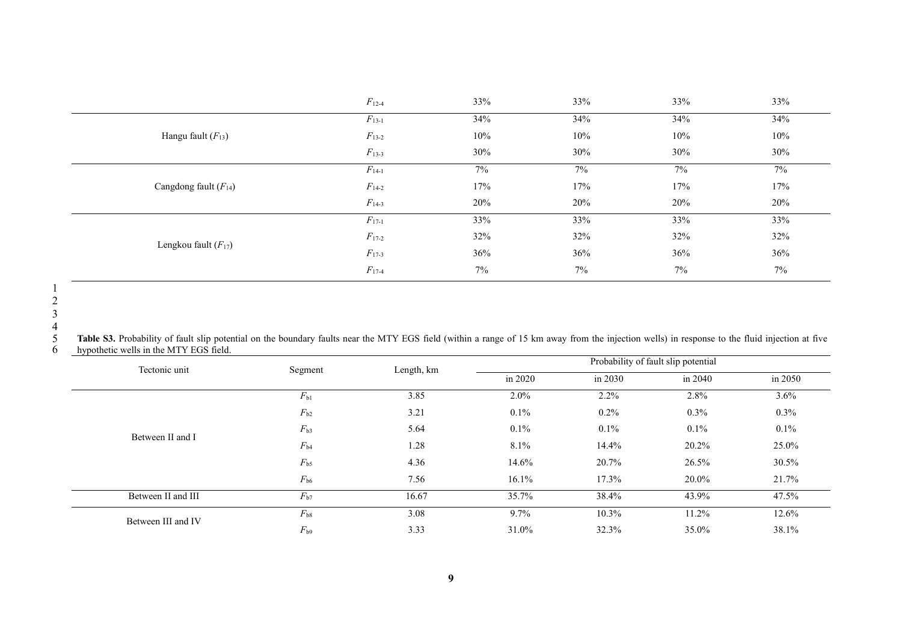|                           | $F_{12-4}$ | 33%    | 33% | 33%    | 33% |
|---------------------------|------------|--------|-----|--------|-----|
|                           | $F_{13-1}$ | 34%    | 34% | 34%    | 34% |
| Hangu fault $(F_{13})$    | $F_{13-2}$ | $10\%$ | 10% | 10%    | 10% |
|                           | $F_{13-3}$ | 30%    | 30% | 30%    | 30% |
|                           | $F_{14-1}$ | $7\%$  | 7%  | 7%     | 7%  |
| Cangdong fault $(F_{14})$ | $F_{14-2}$ | 17%    | 17% | $17\%$ | 17% |
|                           | $F_{14-3}$ | 20%    | 20% | 20%    | 20% |
|                           | $F_{17-1}$ | 33%    | 33% | 33%    | 33% |
| Lengkou fault $(F_{17})$  | $F_{17-2}$ | 32%    | 32% | 32%    | 32% |
|                           | $F_{17-3}$ | 36%    | 36% | 36%    | 36% |
|                           | $F_{17-4}$ | $7\%$  | 7%  | $7\%$  | 7%  |

5 Table S3. Probability of fault slip potential on the boundary faults near the MTY EGS field (within a range of 15 km away from the injection wells) in response to the fluid injection at five<br>6 hypothetic wells in the MTY

| Tectonic unit      | Segment      | Length, km |         | Probability of fault slip potential |          |         |
|--------------------|--------------|------------|---------|-------------------------------------|----------|---------|
|                    |              |            | in 2020 | in 2030                             | in 2040  | in 2050 |
|                    | $F_{b1}$     | 3.85       | $2.0\%$ | $2.2\%$                             | 2.8%     | $3.6\%$ |
|                    | $F_{b2}$     | 3.21       | $0.1\%$ | 0.2%                                | $0.3\%$  | $0.3\%$ |
| Between II and I   | $F_{b3}$     | 5.64       | $0.1\%$ | $0.1\%$                             | $0.1\%$  | $0.1\%$ |
|                    | $F_{b4}$     | 1.28       | 8.1%    | 14.4%                               | 20.2%    | 25.0%   |
|                    | $F_{\rm b5}$ | 4.36       | 14.6%   | 20.7%                               | 26.5%    | 30.5%   |
|                    | $F_{\rm b6}$ | 7.56       | 16.1%   | 17.3%                               | 20.0%    | 21.7%   |
| Between II and III | $F_{b7}$     | 16.67      | 35.7%   | 38.4%                               | 43.9%    | 47.5%   |
| Between III and IV | $F_{b8}$     | 3.08       | $9.7\%$ | $10.3\%$                            | $11.2\%$ | 12.6%   |
|                    | $F_{b9}$     | 3.33       | 31.0%   | 32.3%                               | 35.0%    | 38.1%   |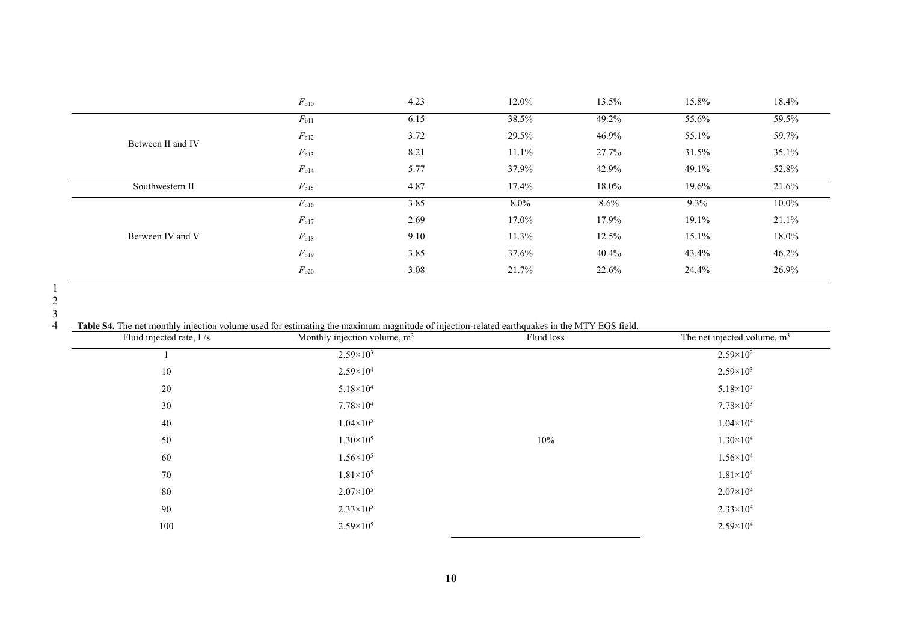|                   | $F_{\rm b10}$ | 4.23 | 12.0%    | 13.5% | 15.8% | 18.4%    |  |
|-------------------|---------------|------|----------|-------|-------|----------|--|
|                   | $F_{b11}$     | 6.15 | 38.5%    | 49.2% | 55.6% | 59.5%    |  |
| Between II and IV | $F_{b12}$     | 3.72 | 29.5%    | 46.9% | 55.1% | 59.7%    |  |
|                   | $F_{b13}$     | 8.21 | $11.1\%$ | 27.7% | 31.5% | 35.1%    |  |
|                   | $F_{b14}$     | 5.77 | 37.9%    | 42.9% | 49.1% | 52.8%    |  |
| Southwestern II   | $F_{b15}$     | 4.87 | 17.4%    | 18.0% | 19.6% | 21.6%    |  |
|                   | $F_{\rm b16}$ | 3.85 | $8.0\%$  | 8.6%  | 9.3%  | $10.0\%$ |  |
|                   | $F_{b17}$     | 2.69 | 17.0%    | 17.9% | 19.1% | 21.1%    |  |
| Between IV and V  | $F_{b18}$     | 9.10 | 11.3%    | 12.5% | 15.1% | 18.0%    |  |
|                   | $F_{b19}$     | 3.85 | 37.6%    | 40.4% | 43.4% | 46.2%    |  |
|                   | $F_{b20}$     | 3.08 | 21.7%    | 22.6% | 24.4% | 26.9%    |  |

Table S4. The net monthly injection volume used for estimating the maximum magnitude of injection-related earthquakes in the MTY EGS field.

| Fluid injected rate, L/s | Monthly injection volume, $m3$ | Fluid loss | The net injected volume, $m3$ |
|--------------------------|--------------------------------|------------|-------------------------------|
|                          | $2.59 \times 10^{3}$           |            | $2.59 \times 10^{2}$          |
| 10                       | $2.59\times10^{4}$             |            | $2.59\times10^{3}$            |
| 20                       | $5.18\times10^{4}$             |            | $5.18 \times 10^3$            |
| 30                       | $7.78\times10^{4}$             |            | $7.78\times10^{3}$            |
| 40                       | $1.04\times10^{5}$             |            | $1.04 \times 10^{4}$          |
| 50                       | $1.30\times10^{5}$             | $10\%$     | $1.30\times10^{4}$            |
| 60                       | $1.56 \times 10^5$             |            | $1.56 \times 10^{4}$          |
| 70                       | $1.81\times10^{5}$             |            | $1.81\times10^{4}$            |
| 80                       | $2.07\times10^{5}$             |            | $2.07\times10^{4}$            |
| 90                       | $2.33\times10^{5}$             |            | $2.33\times10^{4}$            |
| 100                      | $2.59\times10^{5}$             |            | $2.59\times10^{4}$            |
|                          |                                |            |                               |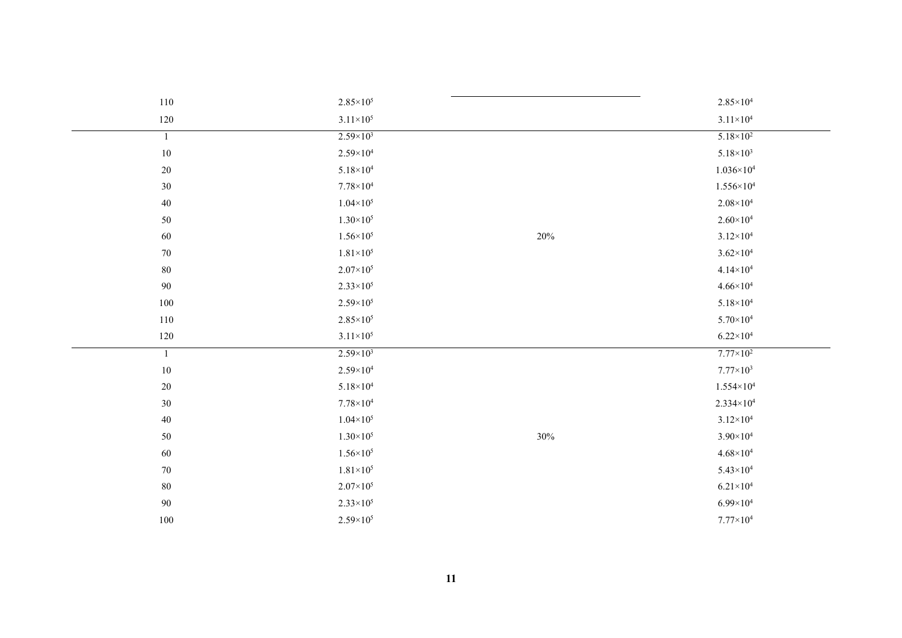| 110            | $2.85\times10^{5}$   |     | $2.85 \times 10^{4}$  |
|----------------|----------------------|-----|-----------------------|
| 120            | $3.11\times10^{5}$   |     | $3.11\times10^{4}$    |
| $\overline{1}$ | $2.59 \times 10^3$   |     | $5.18 \times 10^2$    |
| $10\,$         | $2.59\times10^{4}$   |     | $5.18 \times 10^3$    |
| 20             | $5.18\times10^4$     |     | $1.036 \times 10^{4}$ |
| 30             | $7.78\times10^{4}$   |     | $1.556 \times 10^{4}$ |
| 40             | $1.04 \times 10^{5}$ |     | $2.08\times10^4$      |
| 50             | $1.30\times10^{5}$   |     | $2.60\times10^{4}$    |
| 60             | $1.56 \times 10^{5}$ | 20% | $3.12 \times 10^{4}$  |
| 70             | $1.81\times10^{5}$   |     | $3.62 \times 10^{4}$  |
| 80             | $2.07\times10^{5}$   |     | $4.14 \times 10^{4}$  |
| 90             | $2.33\times10^{5}$   |     | $4.66 \times 10^{4}$  |
| 100            | $2.59\times10^{5}$   |     | $5.18 \times 10^4$    |
| 110            | $2.85\times10^{5}$   |     | $5.70\times10^{4}$    |
| 120            | $3.11 \times 10^5$   |     | $6.22\times10^{4}$    |
| $\overline{1}$ | $2.59 \times 10^3$   |     | $7.77 \times 10^2$    |
| $10\,$         | $2.59\times10^{4}$   |     | $7.77\times10^{3}$    |
| 20             | $5.18 \times 10^4$   |     | $1.554 \times 10^4$   |
| 30             | $7.78\times10^{4}$   |     | $2.334 \times 10^{4}$ |
| 40             | $1.04 \times 10^{5}$ |     | $3.12 \times 10^{4}$  |
| 50             | $1.30\times10^{5}$   | 30% | $3.90\times10^{4}$    |
| 60             | $1.56 \times 10^{5}$ |     | $4.68\times10^{4}$    |
| 70             | $1.81\times10^{5}$   |     | $5.43\times10^{4}$    |
| 80             | $2.07\times10^{5}$   |     | $6.21\times10^4$      |
| 90             | $2.33\times10^{5}$   |     | $6.99\times10^{4}$    |
| 100            | $2.59\times10^{5}$   |     | $7.77\times10^{4}$    |
|                |                      |     |                       |
|                |                      |     |                       |
|                | 11                   |     |                       |
|                |                      |     |                       |